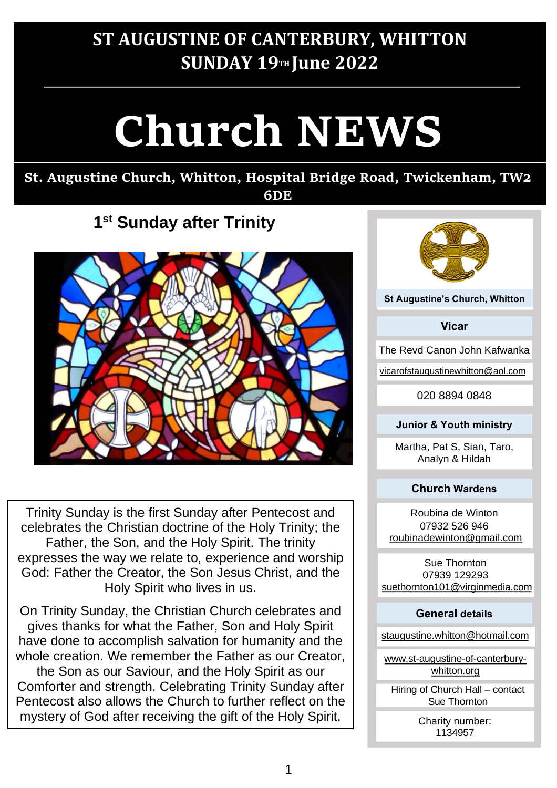# **ST AUGUSTINE OF CANTERBURY, WHITTON SUNDAY 19TH June 2022**

# **Church NEWS**

#### **St. Augustine Church, Whitton, Hospital Bridge Road, Twickenham, TW2 6DE**

# **1 st Sunday after Trinity**



Trinity Sunday is the first Sunday after Pentecost and celebrates the Christian doctrine of the Holy Trinity; the Father, the Son, and the Holy Spirit. The trinity expresses the way we relate to, experience and worship God: Father the Creator, the Son Jesus Christ, and the Holy Spirit who lives in us.

On Trinity Sunday, the Christian Church celebrates and gives thanks for what the Father, Son and Holy Spirit have done to accomplish salvation for humanity and the whole creation. We remember the Father as our Creator, the Son as our Saviour, and the Holy Spirit as our Comforter and strength. Celebrating Trinity Sunday after Pentecost also allows the Church to further reflect on the

mystery of God after receiving the gift of the Holy Spirit.



**St Augustine'<sup>s</sup> Church, Whitton**

**Vicar**

The Revd Canon John Kafwanka

vicarofstaugustinewhitton@aol.com

020 8894 0848

#### **Junior & Youth ministry**

Martha, Pat S, Sian, Taro, Analyn & Hildah

#### **Church Wardens**

Roubina de Winton 07932 526 946 roubinadewinton@gmail.com

Sue Thornton 07939 129293 suethornton101@virginmedia.com

#### **General details**

staugustine.whitton@hotmail.com

www.st-augustine-of-canterburywhitton.org

Hiring of Church Hall – contact Sue Thornton

> Charity number: 1134957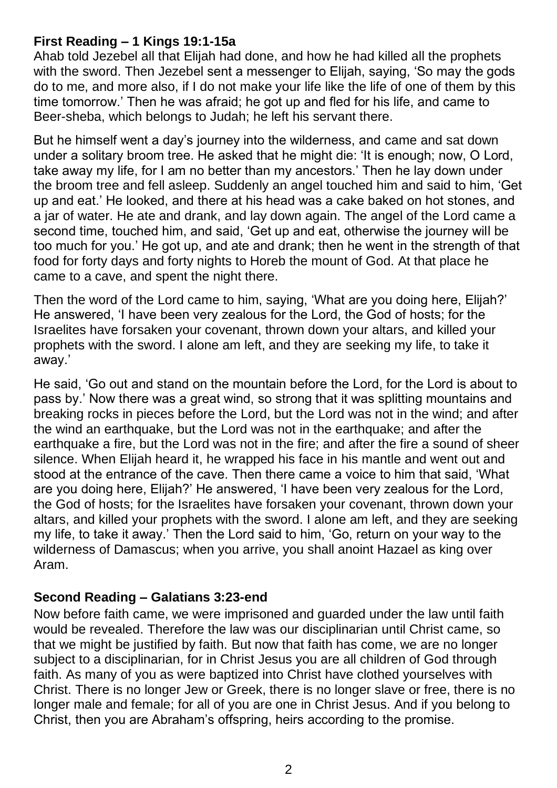#### **First Reading – 1 Kings 19:1-15a**

Ahab told Jezebel all that Elijah had done, and how he had killed all the prophets with the sword. Then Jezebel sent a messenger to Elijah, saying, 'So may the gods do to me, and more also, if I do not make your life like the life of one of them by this time tomorrow.' Then he was afraid; he got up and fled for his life, and came to Beer-sheba, which belongs to Judah; he left his servant there.

But he himself went a day's journey into the wilderness, and came and sat down under a solitary broom tree. He asked that he might die: 'It is enough; now, O Lord, take away my life, for I am no better than my ancestors.' Then he lay down under the broom tree and fell asleep. Suddenly an angel touched him and said to him, 'Get up and eat.' He looked, and there at his head was a cake baked on hot stones, and a jar of water. He ate and drank, and lay down again. The angel of the Lord came a second time, touched him, and said, 'Get up and eat, otherwise the journey will be too much for you.' He got up, and ate and drank; then he went in the strength of that food for forty days and forty nights to Horeb the mount of God. At that place he came to a cave, and spent the night there.

Then the word of the Lord came to him, saying, 'What are you doing here, Elijah?' He answered, 'I have been very zealous for the Lord, the God of hosts; for the Israelites have forsaken your covenant, thrown down your altars, and killed your prophets with the sword. I alone am left, and they are seeking my life, to take it away.'

He said, 'Go out and stand on the mountain before the Lord, for the Lord is about to pass by.' Now there was a great wind, so strong that it was splitting mountains and breaking rocks in pieces before the Lord, but the Lord was not in the wind; and after the wind an earthquake, but the Lord was not in the earthquake; and after the earthquake a fire, but the Lord was not in the fire; and after the fire a sound of sheer silence. When Elijah heard it, he wrapped his face in his mantle and went out and stood at the entrance of the cave. Then there came a voice to him that said, 'What are you doing here, Elijah?' He answered, 'I have been very zealous for the Lord, the God of hosts; for the Israelites have forsaken your covenant, thrown down your altars, and killed your prophets with the sword. I alone am left, and they are seeking my life, to take it away.' Then the Lord said to him, 'Go, return on your way to the wilderness of Damascus; when you arrive, you shall anoint Hazael as king over Aram.

#### **Second Reading – Galatians 3:23-end**

Now before faith came, we were imprisoned and guarded under the law until faith would be revealed. Therefore the law was our disciplinarian until Christ came, so that we might be justified by faith. But now that faith has come, we are no longer subject to a disciplinarian, for in Christ Jesus you are all children of God through faith. As many of you as were baptized into Christ have clothed yourselves with Christ. There is no longer Jew or Greek, there is no longer slave or free, there is no longer male and female; for all of you are one in Christ Jesus. And if you belong to Christ, then you are Abraham's offspring, heirs according to the promise.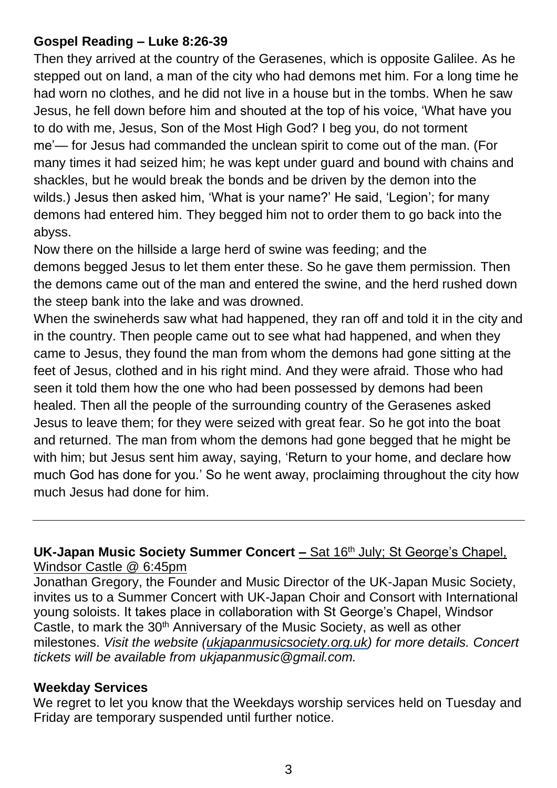#### **Gospel Reading – Luke 8:26-39**

Then they arrived at the country of the Gerasenes, which is opposite Galilee. As he stepped out on land, a man of the city who had demons met him. For a long time he had worn no clothes, and he did not live in a house but in the tombs. When he saw Jesus, he fell down before him and shouted at the top of his voice, 'What have you to do with me, Jesus, Son of the Most High God? I beg you, do not torment me'— for Jesus had commanded the unclean spirit to come out of the man. (For many times it had seized him; he was kept under guard and bound with chains and shackles, but he would break the bonds and be driven by the demon into the wilds.) Jesus then asked him, 'What is your name?' He said, 'Legion'; for many demons had entered him. They begged him not to order them to go back into the abyss.

Now there on the hillside a large herd of swine was feeding; and the demons begged Jesus to let them enter these. So he gave them permission. Then the demons came out of the man and entered the swine, and the herd rushed down the steep bank into the lake and was drowned.

When the swineherds saw what had happened, they ran off and told it in the city and in the country. Then people came out to see what had happened, and when they came to Jesus, they found the man from whom the demons had gone sitting at the feet of Jesus, clothed and in his right mind. And they were afraid. Those who had seen it told them how the one who had been possessed by demons had been healed. Then all the people of the surrounding country of the Gerasenes asked Jesus to leave them; for they were seized with great fear. So he got into the boat and returned. The man from whom the demons had gone begged that he might be with him; but Jesus sent him away, saying, 'Return to your home, and declare how much God has done for you.' So he went away, proclaiming throughout the city how much Jesus had done for him.

#### **UK-Japan Music Society Summer Concert –** Sat 16<sup>th</sup> July; St George's Chapel, Windsor Castle @ 6:45pm

Jonathan Gregory, the Founder and Music Director of the UK-Japan Music Society, invites us to a Summer Concert with UK-Japan Choir and Consort with International young soloists. It takes place in collaboration with St George's Chapel, Windsor Castle, to mark the 30<sup>th</sup> Anniversary of the Music Society, as well as other milestones. *Visit the website [\(ukjapanmusicsociety.org.uk\)](https://ukjapanmusicsociety.org.uk/) for more details. Concert tickets will be available from ukjapanmusic@gmail.com.*

#### **Weekday Services**

We regret to let you know that the Weekdays worship services held on Tuesday and Friday are temporary suspended until further notice.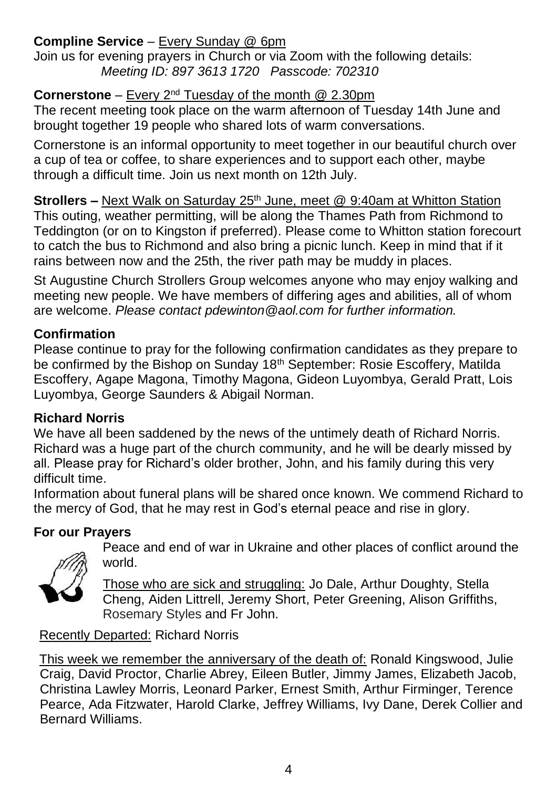## **Compline Service** – Every Sunday @ 6pm

Join us for evening prayers in Church or via Zoom with the following details: *Meeting ID: 897 3613 1720 Passcode: 702310*

## **Cornerstone** – Every 2nd Tuesday of the month @ 2.30pm

The recent meeting took place on the warm afternoon of Tuesday 14th June and brought together 19 people who shared lots of warm conversations.

Cornerstone is an informal opportunity to meet together in our beautiful church over a cup of tea or coffee, to share experiences and to support each other, maybe through a difficult time. Join us next month on 12th July.

**Strollers –** Next Walk on Saturday 25<sup>th</sup> June, meet @ 9:40am at Whitton Station This outing, weather permitting, will be along the Thames Path from Richmond to Teddington (or on to Kingston if preferred). Please come to Whitton station forecourt to catch the bus to Richmond and also bring a picnic lunch. Keep in mind that if it rains between now and the 25th, the river path may be muddy in places.

St Augustine Church Strollers Group welcomes anyone who may enjoy walking and meeting new people. We have members of differing ages and abilities, all of whom are welcome. *Please contact [pdewinton@aol.com](mailto:pdewinton@aol.com) for further information.*

## **Confirmation**

Please continue to pray for the following confirmation candidates as they prepare to be confirmed by the Bishop on Sunday 18<sup>th</sup> September: Rosie Escoffery, Matilda Escoffery, Agape Magona, Timothy Magona, Gideon Luyombya, Gerald Pratt, Lois Luyombya, George Saunders & Abigail Norman.

## **Richard Norris**

We have all been saddened by the news of the untimely death of Richard Norris. Richard was a huge part of the church community, and he will be dearly missed by all. Please pray for Richard's older brother, John, and his family during this very difficult time.

Information about funeral plans will be shared once known. We commend Richard to the mercy of God, that he may rest in God's eternal peace and rise in glory.

## **For our Prayers**



Peace and end of war in Ukraine and other places of conflict around the world.

Those who are sick and struggling: Jo Dale, Arthur Doughty, Stella Cheng, Aiden Littrell, Jeremy Short, Peter Greening, Alison Griffiths, Rosemary Styles and Fr John.

#### Recently Departed: Richard Norris

This week we remember the anniversary of the death of: Ronald Kingswood, Julie Craig, David Proctor, Charlie Abrey, Eileen Butler, Jimmy James, Elizabeth Jacob, Christina Lawley Morris, Leonard Parker, Ernest Smith, Arthur Firminger, Terence Pearce, Ada Fitzwater, Harold Clarke, Jeffrey Williams, Ivy Dane, Derek Collier and Bernard Williams.